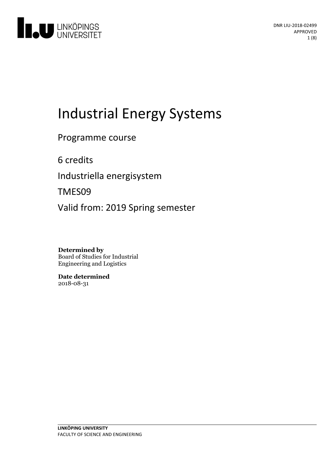

# Industrial Energy Systems

Programme course

6 credits

Industriella energisystem

TMES09

Valid from: 2019 Spring semester

**Determined by** Board of Studies for Industrial Engineering and Logistics

**Date determined** 2018-08-31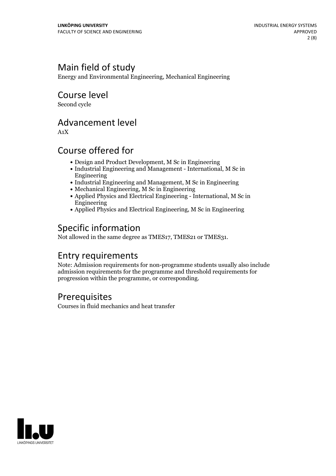# Main field of study

Energy and Environmental Engineering, Mechanical Engineering

### Course level

Second cycle

### Advancement level

A1X

### Course offered for

- Design and Product Development, M Sc in Engineering
- Industrial Engineering and Management International, M Sc in Engineering
- Industrial Engineering and Management, M Sc in Engineering
- Mechanical Engineering, M Sc in Engineering
- Applied Physics and Electrical Engineering International, M Sc in Engineering
- Applied Physics and Electrical Engineering, M Sc in Engineering

# Specific information

Not allowed in the same degree as TMES17, TMES21 or TMES31.

# Entry requirements

Note: Admission requirements for non-programme students usually also include admission requirements for the programme and threshold requirements for progression within the programme, or corresponding.

### Prerequisites

Courses in fluid mechanics and heat transfer

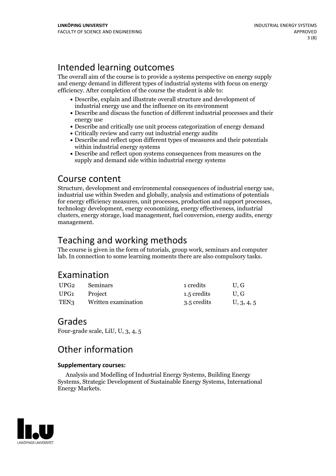# Intended learning outcomes

The overall aim of the course is to provide a systems perspective on energy supply and energy demand in different types of industrial systems with focus on energy efficiency. After completion of the course the student is able to:

- Describe, explain and illustrate overall structure and development of industrial energy use and the influence on its environment
- Describe and discuss the function of different industrial processes and their energy use
- Describe and critically use unit process categorization of energy demand
- Critically review and carry out industrial energy audits
- Describe and reflect upon different types of measures and their potentials within industrial energy systems
- Describe and reflect upon systems consequences from measures on the supply and demand side within industrial energy systems

### Course content

Structure, development and environmental consequences of industrial energy use, industrial use within Sweden and globally, analysis and estimations of potentials for energy efficiency measures, unit processes, production and support processes, technology development, energy economizing, energy effectiveness, industrial clusters, energy storage, load management, fuel conversion, energy audits, energy management.

# Teaching and working methods

The course is given in the form of tutorials, group work, seminars and computer lab. In connection to some learning moments there are also compulsory tasks.

# Examination

| UPG2 | Seminars            | 1 credits   | U.G        |
|------|---------------------|-------------|------------|
| UPG1 | Project             | 1.5 credits | U.G        |
| TEN3 | Written examination | 3.5 credits | U, 3, 4, 5 |

### Grades

Four-grade scale, LiU, U, 3, 4, 5

# Other information

#### **Supplementarycourses:**

Analysis and Modelling of Industrial Energy Systems, Building Energy Systems, Strategic Development of Sustainable Energy Systems, International Energy Markets.

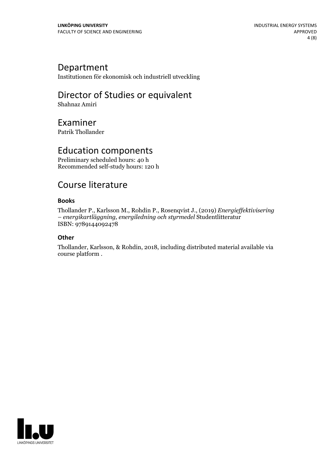### Department

Institutionen för ekonomisk och industriell utveckling

# Director of Studies or equivalent

Shahnaz Amiri

### Examiner

Patrik Thollander

# Education components

Preliminary scheduled hours: 40 h Recommended self-study hours: 120 h

### Course literature

#### **Books**

Thollander P., Karlsson M., Rohdin P., Rosenqvist J., (2019) *Energief ektivisering – energikartläggning, energiledning och styrmedel* Studentlitteratur ISBN: 9789144092478

#### **Other**

Thollander, Karlsson, & Rohdin, 2018, including distributed material available via course platform .

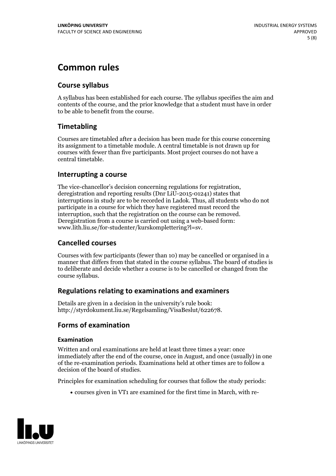# **Common rules**

#### **Course syllabus**

A syllabus has been established for each course. The syllabus specifies the aim and contents of the course, and the prior knowledge that a student must have in order to be able to benefit from the course.

#### **Timetabling**

Courses are timetabled after a decision has been made for this course concerning its assignment to a timetable module. A central timetable is not drawn up for courses with fewer than five participants. Most project courses do not have a central timetable.

#### **Interrupting a course**

The vice-chancellor's decision concerning regulations for registration, deregistration and reporting results (Dnr LiU-2015-01241) states that interruptions in study are to be recorded in Ladok. Thus, all students who do not participate in a course for which they have registered must record the interruption, such that the registration on the course can be removed. Deregistration from <sup>a</sup> course is carried outusing <sup>a</sup> web-based form: www.lith.liu.se/for-studenter/kurskomplettering?l=sv.

#### **Cancelled courses**

Courses with few participants (fewer than 10) may be cancelled or organised in a manner that differs from that stated in the course syllabus. The board of studies is to deliberate and decide whether a course is to be cancelled orchanged from the course syllabus.

#### **Regulations relatingto examinations and examiners**

Details are given in a decision in the university's rule book: http://styrdokument.liu.se/Regelsamling/VisaBeslut/622678.

#### **Forms of examination**

#### **Examination**

Written and oral examinations are held at least three times a year: once immediately after the end of the course, once in August, and once (usually) in one of the re-examination periods. Examinations held at other times are to follow a decision of the board of studies.

Principles for examination scheduling for courses that follow the study periods:

courses given in VT1 are examined for the first time in March, with re-

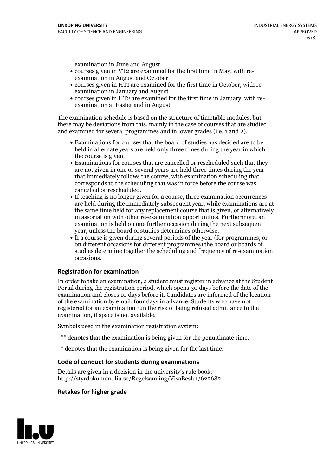examination in June and August

- courses given in VT2 are examined for the first time in May, with re-examination in August and October
- courses given in HT1 are examined for the first time in October, with re-examination in January and August
- courses given in HT2 are examined for the first time in January, with re-examination at Easter and in August.

The examination schedule is based on the structure of timetable modules, but there may be deviations from this, mainly in the case of courses that are studied and examined for several programmes and in lower grades (i.e. 1 and 2).

- Examinations for courses that the board of studies has decided are to be held in alternate years are held only three times during the year in which
- the course is given.<br>• Examinations for courses that are cancelled or rescheduled such that they are not given in one or several years are held three times during the year that immediately follows the course, with examination scheduling that corresponds to the scheduling that was in force before the course was cancelled or rescheduled.<br>• If teaching is no longer given for a course, three examination occurrences
- are held during the immediately subsequent year, while examinations are at the same time held for any replacement course that is given, or alternatively in association with other re-examination opportunities. Furthermore, an examination is held on one further occasion during the next subsequent year, unless the board of studies determines otherwise.<br>• If a course is given during several periods of the year (for programmes, or
- on different occasions for different programmes) the board orboards of studies determine together the scheduling and frequency of re-examination occasions.

#### **Registration for examination**

In order to take an examination, a student must register in advance at the Student Portal during the registration period, which opens 30 days before the date of the examination and closes 10 days before it. Candidates are informed of the location of the examination by email, four days in advance. Students who have not registered for an examination run the risk of being refused admittance to the examination, if space is not available.

Symbols used in the examination registration system:

- \*\* denotes that the examination is being given for the penultimate time.
- \* denotes that the examination is being given for the last time.

#### **Code of conduct for students during examinations**

Details are given in a decision in the university's rule book: http://styrdokument.liu.se/Regelsamling/VisaBeslut/622682.

#### **Retakes for higher grade**

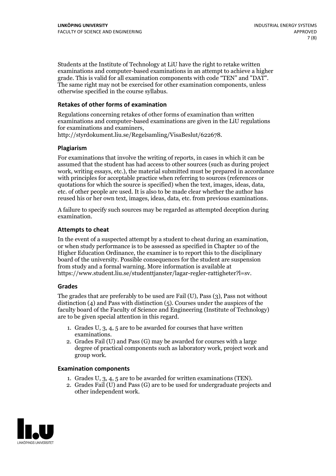Students at the Institute of Technology at LiU have the right to retake written examinations and computer-based examinations in an attempt to achieve a higher grade. This is valid for all examination components with code "TEN" and "DAT". The same right may not be exercised for other examination components, unless otherwise specified in the course syllabus.

#### **Retakes of other forms of examination**

Regulations concerning retakes of other forms of examination than written examinations and computer-based examinations are given in the LiU regulations for examinations and examiners, http://styrdokument.liu.se/Regelsamling/VisaBeslut/622678.

#### **Plagiarism**

For examinations that involve the writing of reports, in cases in which it can be assumed that the student has had access to other sources (such as during project work, writing essays, etc.), the material submitted must be prepared in accordance with principles for acceptable practice when referring to sources (references or quotations for which the source is specified) when the text, images, ideas, data, etc. of other people are used. It is also to be made clear whether the author has reused his or her own text, images, ideas, data, etc. from previous examinations.

A failure to specify such sources may be regarded as attempted deception during examination.

#### **Attempts to cheat**

In the event of <sup>a</sup> suspected attempt by <sup>a</sup> student to cheat during an examination, or when study performance is to be assessed as specified in Chapter <sup>10</sup> of the Higher Education Ordinance, the examiner is to report this to the disciplinary board of the university. Possible consequences for the student are suspension from study and a formal warning. More information is available at https://www.student.liu.se/studenttjanster/lagar-regler-rattigheter?l=sv.

#### **Grades**

The grades that are preferably to be used are Fail (U), Pass (3), Pass not without distinction  $(4)$  and Pass with distinction  $(5)$ . Courses under the auspices of the faculty board of the Faculty of Science and Engineering (Institute of Technology) are to be given special attention in this regard.

- 1. Grades U, 3, 4, 5 are to be awarded for courses that have written
- examinations. 2. Grades Fail (U) and Pass (G) may be awarded for courses with <sup>a</sup> large degree of practical components such as laboratory work, project work and group work.

#### **Examination components**

- 
- 1. Grades U, 3, 4, <sup>5</sup> are to be awarded for written examinations (TEN). 2. Grades Fail (U) and Pass (G) are to be used for undergraduate projects and other independent work.